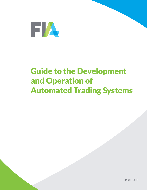

# Guide to the Development and Operation of Automated Trading Systems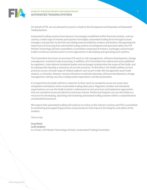

#### **GUIDE TO THE DEVELOPMENT AND OPERATION OF AUTOMATED TRADING SYSTEMS**

On behalf of FIA, we are pleased to present a *Guide to the Development and Operation of Automated Trading Systems.*

Automated trading systems have become increasingly established within financial markets, and are used by a wide range of market participants from highly automated trading firms through to asset managers and pension funds that use trading tools provided by vendors and brokers. Recognizing the importance of ensuring that automated trading systems are designed and operated safely, the FIA Market Technology Division assembled a committee comprised of brokers, exchanges and principal traders to discuss and document current approaches in developing and operating such systems.

The Committee has drawn on previous FIA work on risk management, software development, change management, and post-trade processing. In addition, the Committee has referenced work published by regulators, international standards bodies and exchanges to determine the scope of the *Guide*, and to subsequently develop a consensus of current practices. To this effect, the *Guide* outlines current practices across a broad range of related subjects such as pre-trade risk management, post-trade analysis, co-location, disaster recovery/business continuity planning, software development, change management, testing, security, trading system operations, and documentation.

It is hoped that the *Guide* will form a basis for further work on standards across any asset class and global marketplace where automated trading takes place. Regulatory bodies and standards organizations can use the *Guide* to better understand current practices and implement approaches that are consistent across jurisdictions and asset classes. Market participants can use the *Guide* as a resource for developing, operating and reviewing automated trading systems within a comprehensive and detailed framework.

We expect that automated trading will continue to evolve as the industry evolves and FIA is committed to monitoring and supporting practices and procedures that improve the integrity and safety of the markets.

Yours truly,

*Greg Wood Leslie Sutphen* Co-Chairs, FIA Market Technology Division, Automated Trading Committee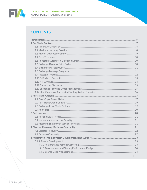

**EVALUATED THE DEVELOPMENT AND OPERATION OF AUTOMATED TRADING SYSTEMS** 

# **CONTENTS**

| $\overline{\phantom{a}}$ and $\overline{\phantom{a}}$ |
|-------------------------------------------------------|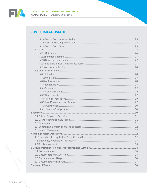

### **CONTENTS (CONTINUED)**

| 8 Documentation of Policies, Procedures, and Systems ………………………………………………………………………34 |  |
|------------------------------------------------------------------------------------|--|
|                                                                                    |  |
|                                                                                    |  |
|                                                                                    |  |
|                                                                                    |  |
|                                                                                    |  |
|                                                                                    |  |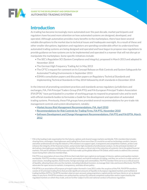

## **Introduction**

As trading has become increasingly more automated over the past decade, market participants and regulators have focused more attention on how automated systems are designed, developed, and operated. Although automation provides many benefits to the marketplace, there have been several notable disruptions to the market due to technical issues and inadequate oversight. As a result of these and other smaller disruptions, legislators and regulators are spending considerable effort to understand how automated trading systems are being designed and operated and have begun to propose new regulations to provide guidance on how systems are to be implemented and operated in a manner that will not disrupt or manipulate the marketplace. Some specific initiatives include:

- The SEC's Regulation SCI (System Compliance and Integrity), proposed in March 2013 and adopted in November 2014
- The German High Frequency Trading Act in May 2013
- The CFTC's request for comment on its Concept Release on Risk Controls and System Safeguards for Automated Trading Environments in September 2013
- ESMA's consultation papers and discussion papers on Regulatory Technical Standards and Implementing Technical Standards in May 2014 followed by draft standards in December 2014

In the interest of promoting consistent practices and standards across regulatory jurisdictions and exchanges, FIA, FIA Principal Traders Group (FIA PTG) and FIA European Principal Traders Association  $(FIA EPTA)^1$  have participated in a number of working groups to respond to proposed rules and to work with official standards bodies to formulate a *Guide* for the development and operation of automated trading systems. Previously, these FIA groups have provided several recommendations for pre-trade risk management controls and system development, notably:

- [Market Access Risk Management Recommendations, FIA, April 2010](https://americas.fia.org/sites/default/files/content_attachments/Market_Access-Best-Practices.pdf)
- [Recommendations for Risk Controls for Trading Firms, FIA PTG, November 2010](https://ptg.fia.org/sites/default/files/content_attachments/Trading_Best_Pratices%20-%20published.pdf)
- [Software Development and Change Management Recommendations, FIA PTG and FIA EPTA, March](https://ptg.fia.org/sites/default/files/content_attachments/2012_Software_Change_Management.pdf)  [2012](https://ptg.fia.org/sites/default/files/content_attachments/2012_Software_Change_Management.pdf)

 $1$  FIA is the leading trade organization for the futures, options and cleared swaps markets worldwide. FIA's membership includes clearing firms, exchanges, clearinghouses and trading firms from more than 25 countries as well as technology vendors, lawyers and other professionals serving the industry. FIA's mission is to support open, transparent and competitive markets, protect and enhance the integrity of the financial system, and promote high standards of professional conduct. As the principal members of derivatives clearinghouses worldwide, FIA's member firms play a critical role in the reduction of systemic risk in the global financial markets. FIA and its affiliates FIA Europe and FIA Asia make up the global alliance FIA Global, which seeks to address the common issues facing their collective memberships.

FIA PTG is an association of more than 20 firms that trade their own capital on exchanges in futures, options and equities markets worldwide. FIA PTG members engage in manual, automated, and hybrid methods of trading, and they are active in a wide variety of asset classes, including equities, fixed income, foreign exchange and commodities. FIA PTG member firms serve as a critical source of liquidity, allowing those who use the markets, including individual investors, to manage their risks and invest effectively. FIA PTG advocates for open access to markets, transparency, and data-driven policy.

FIA EPTA is an association of European principal traders formed in June 2011 under the auspices of the FIA. FIA EPTA members consist of 25 principal trading firms that provide significant amounts of liquidity to European regulated markets and multilateral trading facilities (MTFs). FIA EPTA members deal on own-account using proprietary capital and do not have clients or act as deposit takers in any form. FIA EPTA members are authorised by various EU national competent authorities and/or supervised by the regulated markets on which they trade, and are further subject to EU and national conduct of business regulation.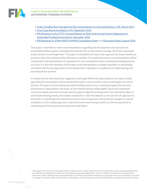

- [Order Handling Risk Management Recommendations for Executing Brokers, FIA, March 2012](https://americas.fia.org/sites/default/files/content_attachments/Order_Handling_for_Executing_Brokers.pdf)
- [Drop Copy Recommendations, FIA, September 2013](https://fia.org/sites/default/files/content_attachments/FIA-Drop_Copy_0.pdf)
- [FIA Response to the CFTC Concept Release on Risk Controls and System Safeguards for](https://americas.fia.org/sites/default/files/content_attachments/CFTC_Concept_Release_on_Risk_Controls_121113.pdf)  [Automated Trading Environments, December 2013](https://americas.fia.org/sites/default/files/content_attachments/CFTC_Concept_Release_on_Risk_Controls_121113.pdf)
- [FIA Response to ESMA MIFID II/MiFIR Consultation Paper](https://epta.fia.org/sites/default/files/content_attachments/ESMA_MiFID2_CP_FIA%20ASSOCIATIONS_REPLYFORM.pdf) and [Discussion Paper, August 2014](https://epta.fia.org/sites/default/files/content_attachments/ESMA_MiFID2_DP_FIA%20ASSOCIATIONS_REPLYFORM.pdf)

This paper is intended to make recommendations regarding the development and operation of automated trading systems, including the controls that can be used to manage risk at the automated trader, broker or exchange level.<sup>2</sup> The paper is intended to be asset-class agnostic but draws heavily on practices that have evolved within the futures markets. It is hoped that these recommendations will be considered in the development of regulations for any marketplace where automated trading systems are used. It is also the intention of this paper to provide guidance to global regulators in developing consistent and formal approaches to providing either regulations or guidance on implementing and operating these systems.

It is important to note that these suggestions will apply differently depending on the type of entity operating the automated systems (automated traders versus brokers versus exchanges), the size of the firm, the type of system being operated (trading system versus matching engine), the system's performance requirements, the types of instruments being trading (highly liquid and automated versus less liquid and more manual), and the types of algorithms being used. Care should be taken to avoid implementing overly prescriptive standards or rules that impose a one-size-fits-all approach to all entities. It should also be noted that practices may change over time based on changes to market conditions, to the trading approach, and to the instruments being traded, so a formal approach to reviewing and revising practices should be undertaken.

 $2$  This paper uses the term "automated trader" to describe any trading entity that uses an automated system including hedge funds, buy-side firms, trading firms, and brokers who deploy automated algorithms. The term "broker" includes futures commission merchants, other clearing firms, executing brokers and other financial intermediaries that provide access to an exchange. The term "exchange" is meant to apply to exchanges, marketplaces, and matching services that facilitate the automated execution of trades.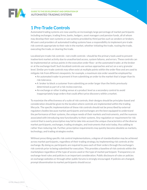

# **1 Pre-Trade Controls**

Automated trading systems are now used by an increasingly large percentage of market participants including exchanges, trading firms, banks, hedgers, asset managers and pension funds, all of whom may develop their own systems or use systems provided by third parties such as vendors or brokers. All users and providers of automated trading systems have a responsibility to implement pre-trade risk controls appropriate to their role in the market, whether initiating the trade, routing the trade, executing the trade, or clearing the trade.

Localized pre-trade risk controls—not credit controls—should be the primary tools used to prevent inadvertent market activity due to unauthorized access, system failures, and errors. These controls can be implemented at various points in the execution order flow—at the automated trader, at the broker or at the exchange itself. Such localized controls use various approaches and act on a very granular level. Similar pre-trade controls may often exist at multiple points within the order flow and are used to mitigate risk from different viewpoints, for example, a maximum size order would be employed by:

- An automated trader to prevent it from submitting an order to the market that is larger than its risk tolerance.
- A broker to block a customer from submitting an order larger than the limits previously determined as part of a risk review exercise.
- An exchange or other trading venue at a product level as a secondary control to avoid inappropriately large orders that could affect price discovery within a market.

To maximize the effectiveness of a suite of risk controls, their designs should be principles-based and consideration should be given to the location where controls are implemented within the trading lifecycle. The specific implementation of these risk controls should not be prescribed by external regulatory bodies because market participants and exchanges are the best equipped to understand the performance of their systems, the unique needs of their markets and instruments, and the nuances associated with introducing new functionality to their systems. Any regulation or requirement for risk control that is overly prescriptive may fail to take into account the unique characteristics of the diverse market participants, exchanges, trading strategies, and instruments that exist today, thus adding to rather than reducing risk. Further, prescriptive requirements may quickly become obsolete as markets, technology, and trading strategies evolve.

Without prescribing specific risk control implementations, a degree of standardization may be achieved across market participants, regardless of their trading strategy, by implementing risk controls at the exchange. By doing so, participants are required to pass each of their orders through the exchange's risk controls prior to being submitted for execution. This provides a baseline of risk controls within the marketplace regardless of the type of access used or the type of market participant. Transparency on exchange-level rules and policies is an important consideration. Public disclosure of rules or policies on exchange websites or through other public forums is strongly encouraged. If policies are changed, prompt dissemination to market participants should occur.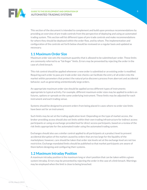

This section of the document is intended to complement and build upon previous recommendations by providing an overview of pre-trade controls from the perspective of deploying and using an automated trading system. This section will list different types of pre-trade controls and make recommendations for where they should be deployed within the order flow, and by whom. The implementation and configuration of the controls set forth below should be reviewed on a regular basis and updated as necessary.

### **1.1 Maximum Order Size**

Maximum order size sets the maximum quantity that is allowed to be submitted per order. These limits are commonly referred to as "fat-finger" limits. Errors may be prevented by rejecting the order in the case of a limit breach.

This risk control should be applied whenever a new order is submitted or an existing order is modified. Requiring each order to pass pre-trade order size checks can facilitate the entry of all orders into the market within parameters that protect the natural price discovery process from aberrant and accidental behavior, such as generating unintentionally large orders.

An appropriate maximum order size should be applied across different types of instruments appropriate to typical activity. For example, different maximum order sizes may be applied to orders on futures, options or spreads on the same underlying instrument. These limits may be adjusted for each instrument and each trading venue.

Systems should be designed to prevent orders from being placed in cases where no order size limits have been set for an instrument.

Such limits may be set at the trading application level. Depending on the type of market access, the broker providing access should also set limits within their own trading infrastructure for indirect access participants or using an exchange-provided tool for direct access participants, based on a review of the risk limits appropriate for the automated trader using the automated trading system.

Exchanges should also use a similar control applied to all participants at a product level to prevent accidental disruption of the market caused by orders that are too large for the liquidity of the marketplace; however, care should be taken that order size levels set at the exchange level are not too restrictive. Exchange mandated limits should be published so that market participants are aware of them before designing and configuring their systems.

### **1.2 Maximum Intraday Position**

A maximum intraday position is the maximum long or short position that can be taken within a given system intraday. Errors may be prevented by rejecting the order in the case of a limit breach. Warnings may be employed when the limit is close to being breached.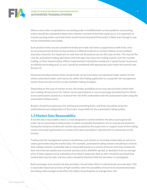

When a new order is submitted or an existing order is modified both current positions and working orders should be evaluated to determine whether a breach of the limit could occur. It is important to include working orders such that limits would not be breached if that order is filled, even though it may not be immediately executable.

Such position limits may be considered simple pre-trade risk limits as opposed to credit limits since an accurate picture of start-of-day positions is difficult to derive in a timely fashion across multiple execution channels. It is important to note that not all systems can use this type of limit. This may be the case for automated trading operations that leverage more than one trading system, over-the-counter trading, or floor-based trading. Where implemented it should be considered a "speed-bump" to prevent accidental overtrading and, as such, should be employed with appropriate post-trade risk controls (see Section 2).

Maximum intraday position limits are generally set by instrument, by individual trader and/or for the whole automated trader, and may be set within the trading application or a separate risk management system that oversees activity across multiple trading strategies.

Depending on the type of market access, the broker providing access may also set limits within their own trading infrastructure for indirect access participants or use an exchange-provided tool for direct access participants, based on a review of the risk limits undertaken with the automated trader using the automated trading system.

Brokers should have processes for setting and amending limits, and limits should be set by the authorized person independent of the trader responsible for the automated trading system.

### **1.3 Market Data Reasonability**

A market data reasonability check is a tool designed to control whether the data used to generate orders by an automated trading system is within acceptable boundaries. Errors may be prevented by having the existence of aberrant market data escalated to the supervisor or support team of the trading system and orders generated as a result of this data cancelled or rejected prior to submission to the market.

Trading and risk management systems should have such checks on incoming market data as well as on values generated using the market data. For example, automated trading systems should have controls that validate whether actionable data is reasonable based on a variety of factors that may include the time since the last update was received, previous price, bid/offer spread, or deviation from an average price. If there appears to be a deviation from what is expected, then an alert should be provided that market data may be stale, and any orders should be blocked while the deviation is investigated.

Both exchanges and commercial data providers should make efforts to disseminate accurate data. This is especially important at times of high volatility when the possibility of incorrectly disseminated data (including a data outage) could affect the ability of participants to manage their risk.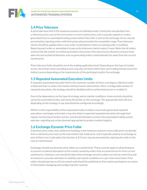

### **1.4 Price Tolerance**

A price tolerance limit is the maximum amount an individual order's limit price may deviate from a reference price such as the instrument's current market price, and is typically applied on orders generated from an automated trading system before the order is sent to the exchange. Errors may be prevented by rejecting orders with limit prices placed outside the acceptable range. Price tolerance checks should be applied when a new order is submitted or when an existing order is modified. Requiring each order or amendment to pass price tolerance checks makes it more likely that all orders entered into the market are within parameters that protect the natural price discovery process from aberrant and accidental behavior, such as generating orders unintentionally far away from the current market price.

Price tolerance limits should be set at the trading application level. Depending on the type of market access, the broker entity providing access may also set limits within their own trading infrastructure for indirect access depending on the requirements of the participant and/or the exchange.

### **1.5 Repeated Automated Execution Limits**

A repeated automated execution limit is the maximum number of times a strategy or identical order is filled and then re-enters the market without human intervention. After a configurable number of repeated executions, the strategy should be disabled until an authorized person re-enables it.

Due to the dependency on the type of strategy and on market conditions, these controls should be set by the automated trader, and not by the broker or the exchange. The appropriate limit will vary depending on the strategy in use and should be configured accordingly.

While it is the responsibility of the automated trader to detect incorrectly generated repeated executions, exchanges and brokers may also detect suspected repeated executions through their regular monitoring of market activity, and should attempt to contact the automated trading system operator regarding any action deemed appropriate to protect market integrity.

### **1.6 Exchange Dynamic Price Collar**

A dynamic price collar, also called price banding, is the maximum amount a new trade price can deviate from a reference price such as the instrument's last trade price, and is typically used by an exchange as part of their error trade policy (see Section 2.3). Errors may be prevented by rejecting the order in the case of a limit breach.

Exchanges should use dynamic price collars at a market level. These controls apply to all participants to prevent accidental disruption of the market caused by orders that are entered too far from current market price. However, care should be taken that exchange-set price collars are not too restrictive and are based on accurate estimates of volatility and market conditions on a per instrument basis. Price collars should operate on all instruments and should be published so that market participants are aware of them before designing and configuring their systems.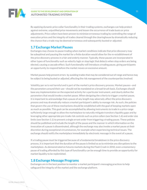

By applying dynamic price collar functionality in their trading systems, exchanges can help protect against extreme, unjustified price movements and lessen the occurrence of trade busts or price adjustments. Price collars have been proven to minimize erroneous trading by controlling the range of execution prices and the integrity of trades cleared through the clearinghouse by dramatically reducing the chance that a trade may be deemed erroneous and subsequently busted or adjusted.

### **1.7 Exchange Market Pauses**

Exchanges may choose to pause trading when market conditions indicate that price discovery may be suboptimal and pausing the market for a finite duration would allow for the re-establishment of the price discovery process in a fair and orderly manner. Typically, these pauses are incorporated in other types of functionality such as velocity logic or stop logic that detects when stop orders are being elected, causing a cascade effect. Such functionality will introduce a trading pause, giving participants an opportunity to respond before the market moves an excessive amount.

Market pauses help prevent errors by avoiding trades that may be considered out of range and hence may be subject to being busted or adjusted, affecting the risk management of the counterparties involved.

Volatility per se is not harmful and is part of the market's price discovery process. Market pauses—and the parameters around their use—should not be mandated on a broad-brush basis. Exchanges should base any implementation on the expected activity for a particular instrument, and clearly define the parameters that would invoke a market pause. When designing the criteria to trigger a market pause, it is important to acknowledge that a pause of any length may adversely affect the price discovery process and may dramatically reduce a market participant's ability to manage risk. As such, the policies that govern the use of these mechanisms should be established with the goal of keeping markets open as much as possible. This goal can be accomplished by allowing instruments to trade in a price range sufficiently large enough to allow the marketplace to naturally mitigate transitory liquidity gaps and by leveraging other appropriate pre-trade risk controls such as price collars (see Section 1.6) and order size limits (see Section 1.1) to prevent a single errant order from triggering a trading pause. These policies should be published and include the length of the pause and the manner in which information on the invocation of a pause is disseminated, although the exchange may also invoke a market pause at their discretion during exceptional circumstances, for example when experiencing technical issues. The exchange should notify the marketplace immediately by electronic message in the event of a pause.

If a trading pause must be triggered because of a fundamental breakdown in the price discovery process, it is important that the duration of the pause is limited so as to minimize any disruptions to the marketplace. As demonstrated on futures markets during the Flash Crash in 2010, even a momentary pause of trading afforded by this type of functionality can be enough time to provide an opportunity for market liquidity to be replenished.

### **1.8 Exchange Message Programs**

Exchanges are in the best position to monitor a market participant's messaging practices to help safeguard the integrity of the market and the exchange platform.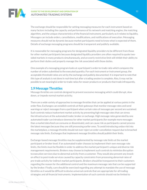

The exchange should be responsible for setting messaging measures for each instrument based on many factors including the capacity and performance of its network and matching engine, the matching algorithm, and the unique characteristics of the financial instrument, particularly as it relates to liquidity. Messages can include orders, cancellations, modifications, and notifications of execution. Messaging measures should not be dynamic because market participants need to know what is expected of them. Details of exchange messaging programs should be transparent and publicly available.

It is reasonable for messaging programs for designated liquidity providers to be different from those for other market participants because designated liquidity providers are often required to quote twosided markets in many products simultaneously, and an overly restrictive limit will inhibit their ability to perform their duties and properly manage the risk associated with those duties.

One example of a messaging program looks at a participant's order-to-trade ratio which compares the number of orders submitted to the executed quantity. For each instrument or instrument group, the acceptable threshold ratios are set by the exchange and publicly documented. It is important to note that this type of analysis is not done in real-time but after a trading session is complete. Also, it may not be possible to set meaningful order-to-trade ratios for newer products or products that trade infrequently.

### **1.9 Message Throttles**

Message throttles are controls designed to prevent excessive messaging which could disrupt, slow down, or impede normal market activity.

There are a wide variety of approaches to message throttles that can be applied at various points in the order flow. Exchanges can establish controls at their gateways that monitor message rates and send warnings or reject messages from a participant when certain rates of messages per second are sustained. Such controls reduce inadvertent market activity by preventing high message rates that can stress the infrastructure at the automated trader, broker or exchange. High message rates generated by one automated trader can introduce slowness for other market participants (for example more messages than a market data feed can consume or disseminate), and can cause risk as participants cannot process the latest messages because they are still processing earlier ones. To avoid introducing undue risk into the marketplace, a message throttle should not ever reject an order cancellation request due to breached message rate limits. Exchanges that implement message throttles should publish their limits.

Exchange-based message throttles may be supplemented by message rate limits at the market participant or broker level. If an automated trader chooses to implement their own message rate limits, the limits must be flexible in order to address the market participant's unique and diverse risk management requirements. Brokers may choose to implement such controls to minimize disruption to execution services due to abnormal activity from a customer. They would also prevent any knockon effect to post-trade services caused by capacity constraints from processing abnormal rates of pre-trade activity for indirect market participants. Brokers should be transparent to their customers regarding the reason for the additional control and the maximum message rate that can be supported by the broker. Finally, care should be exercised regarding any attempt to mandate the use of message throttles as it would be difficult to devise universal controls that are appropriate for all trading strategies and all financial instruments. Implementation of such controls should not be limited to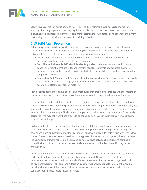

specific types of market participants as this is likely to distort fair and even access to the market, and may ultimately impact market integrity. For example, controls and their associated costs applied exclusively to designated liquidity providers or market makers could potentially discourage them from performing the critically important role of providing liquidity.

### **1.10 Self-Match Prevention**

Self-match prevention is functionality designed to prevent a market participant from inadvertently trading with itself. For the purposes of considering such functionality, it is necessary to distinguish between three types of self-match trades that could occur on an exchange:

- **Wash Trades**: Intentional self-matches created with the intention to distort or manipulate the market, generally prohibited by rules and regulations.
- **Bona Fide and Allowable Self-Match Trades**: Buy and sell orders for accounts with common beneficial ownership that are independently initiated for legitimate and separate business purposes by independent decision makers and which coincidentally cross with each other in the competitive market.
- **Inadvertent Self-Matches that Occur on More than an Incidental Basis**: Orders submitted by the same person, automated trading system, trading team or related groups of traders are matched despite best efforts to avoid self-matching.

Market participants should have policies and procedures that prohibit wash trades and other forms of undesirable self-match trades. A variety of tools may be used to prevent inadvertent self-matches.

It is important to note that due to the diversity of trading operations and strategies, there is not a onesize-fits-all solution to self-match prevention. For example, a market participant that predominately acts as a liquidity provider may not want its resting quotes to prevent new hedge orders from being accepted for execution by the exchange. Similarly, a market participant that rests large limit orders for extended periods of time may not want those orders to be cancelled as a result of submitting a new, aggressing order to the exchange.

Exchanges should offer participants a selection of self-match tools to allow market participants to tailor self-match prevention to their individual needs by offering various options (e.g. cancel resting, cancel new, cancel both, and decrement order size) and various levels of granularity (e.g. firm level, group level, trader ID level, customer account level and strategy level). However, providing flexibility can increase the complexity of implementation, and an appropriate balance between flexibility and complexity should be found. It should be noted that certain levels may be combined or offered in conjunction with another level.

An important benefit of the exchange providing self-match prevention is consistency across market participants in terms of available functionality and cost impact. However, given the different requirements from market participants and different implementations at the exchange level, such controls should remain optional, and a decision by a market participant not to implement available functionality because it does not suit their business structure should not be construed as intent to bypass responsibilities regarding self-matches.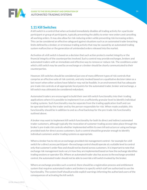

### **1.11 Kill Switches**

A kill switch is a control that when activated immediately disables all trading activity for a particular participant or group of participants, typically preventing the ability to enter new orders and cancelling all working orders. It may also allow for risk-reducing orders while preventing risk-increasing orders. This can be considered an effective safeguard against situations such as an automated trader breaching limits defined by a broker, or erroneous trading activity that may be caused by an automated trading system malfunction or the generation of unintended orders released into the market.

Activation of a kill switch is based on a decision that such action protects market integrity or the financial integrity of the counterparties involved. Such a control may provide exchanges, brokers and automated traders with an immediate and effective way to remove or reduce risk. The conditions under which a kill switch may be used by an exchange or a broker should be clearly communicated to their counterparties.

However, kill switches should be considered just one of many different types of risk controls that comprise an effective suite of risk controls, and only invoked based on a qualitative decision taken as a last resort when other actions have failed or may not be feasible. In an environment that has adequate pre-trade risk controls at all appropriate focal points for the automated trader, broker and exchange, a kill switch may ultimately be considered redundant.

Automated traders are encouraged to build their own kill switch functionality into their trading applications where it is possible to implement it on a sufficiently granular level to identify individual trading systems. Such functionality may be separate from the trading application itself and can be operated both by the trader and by the person responsible for risk. When made available, this functionality should be in addition to and as a final backstop for the pre-trade risk functionality outlined above.

A broker may want to implement kill switch functionality for both its direct and indirect automated trader customers, although typically the revocation of customer trading access takes place through the broker's pre-trade risk controls whether implemented within its own infrastructure or using exchangeprovided tools for direct access customers. Such a control should be granular enough to identify individual customers and/or trading systems as appropriate.

Where a broker has to rely on an exchange-provided risk management control—for example for a kill switch for a direct access participant—the exchange control should operate at a suitable level to control only that customer's order flow and should not be shared across customers. It is important to note that exchange risk management tools vary in how they are implemented based on how the exchange identifies trading sessions or operator IDs. Where an automated trader also has access to the exchange-provided control, the automated trader should not be able to override a kill switch invoked by the broker.

Where an exchange provides such a control, there should be a registration process and entitlement system that requires automated traders and brokers to specify which staff are authorized to use the functionality. The system itself should provide explicit warnings informing the authorized users of the consequences of activating the kill switch.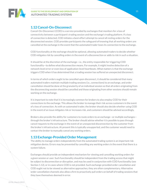

### **1.12 Cancel-On-Disconnect**

Cancel-On-Disconnect (COD) is a service provided by exchanges that monitors for a loss of connectivity between a participant's trading session and the exchange's trading platform. If a loss of connection is detected, COD initiates a best-effort attempt to cancel all resting orders for the disconnected session. COD provides participants the safeguard of knowing that all working orders are cancelled at the exchange in the event that the automated trader loses its connection to the exchange.

COD functionality at the exchange should be optional, allowing automated traders to decide whether COD mitigates risk by cancelling orders in the event of a disconnection or adds to risk in such a situation.

It should be at the discretion of the exchange—i.e., the entity responsible for triggering COD functionality—to define what disconnection means. For example, it might involve detection of a network-level error or even loss of application-level heartbeats. What matters is that the exchange triggers COD when it has determined that a trading session has suffered an unexpected disconnect.

In terms of which orders ought to be cancelled upon disconnect, it should be considered that many automated traders maintain multiple trading sessions (i.e., connections) to an exchange, and order cancellation should be done at the granularity of an individual session so that all orders originating from the disconnecting session should be cancelled and those originating from other sessions should remain working on the exchange.

It is important to note that it is increasingly common for brokers to also employ COD for their connections to the exchange. This allows the broker to manage their risk across customers in the event of a loss of connection. As with an automated trader, the broker should also decide whether using COD in the event of an issue mitigates risk or increases risk, and customers should be advised accordingly.

Brokers also provide the ability for customers to route orders to an exchange—or multiple exchanges through the broker's infrastructure. The broker should advise whether it is possible to pass through cancel requests to the exchange in the event of an unexpected disconnection by the customer from the broker's infrastructure. At present this is typically unsupported, and the customer would need to contact the broker to manually cancel any working orders.

### **1.13 Exchange-Provided Order Management**

The ability to manage orders independently from the automated trading system is an important risk mitigation device. Errors may be prevented by cancelling any working orders in the event that there is a system failure.

Exchanges should provide an independent mechanism for viewing and cancelling working orders for a given session or user. Such functionality should be independent from the trading access that might be subject to disconnection or disruption, and may be used in conjunction with COD functionality (see Section 1.12), or in cases where COD is not provided. Such exchange-provided order cancellation and COD ought not to be viewed as alternative approaches; they are often complementary. Alternative order cancellation channels also allow a firm to proactively pull orders on behalf of trading sessions that they have themselves deemed in error.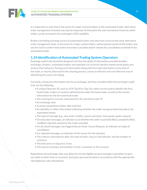

It is important to note that in the event of a major network failure at the automated trader, alternative order management channels may also be impacted. At that point the only mechanical means by which orders can be removed is the exchange's COD capability.

Brokers providing exchange access to automated traders may also have access to the same alternative order management tools. In the event of a major system failure, authorized personnel at the broker may use this tool to confirm that orders have been cancelled and/or initiate the cancellation on behalf of the automated trader.

### **1.14 Identification of Automated Trading System Operators**

Exchange audit trails should be designed such that the depth of information provided enables exchanges, brokers, automated traders and regulators to correctly identify market participants and analyze their behavior. Passing such information along with the trade information at the time of the order, or shortly afterward in the clearing process, can be an efficient and cost-effective way of identifying the source of trading.

Currently, among the information sent to an exchange, and thus included within the exchange's audit trail, are the following:

- A unique Operator ID, such as a FIX Tag 50 or Tag 116, which can be used to identify the firm, head trader, traders or systems administered under the head trader, as well as the contact information for the firm and head trader
- The clearing firm account, execution firm ID, and client order ID
- An exchange code
- A unique sequential number, date and time
- An identifier or other information indicating whether the order was generated manually or by automated means
- The type of message (e.g., new order, modify, cancel, execution, mass quote, quote request)
- On execution messages, an indicator as to whether the order is partially filled, completely filled, modified, rejected, expired or the trade cancelled
- On all cancel messages not triggered by an Order Cancel Request, an indicator of origin of cancellation
- For rejected messages, an indicator of the reason for the rejection
- The contract and maturity date, the type of order, a buy or sell indicator, and the number of contracts
- The limit price or stop price, if any
- The type of customer and whether it is for a customer or firm account

Regulations and exchange rules may allow for certain eligible account managers and others to giveup trades to other firms or accounts. Such give-ups must be done in accordance with the appropriate clearinghouse rules and policies.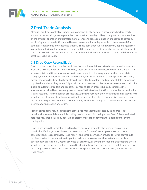

# **2 Post-Trade Analysis**

Although pre-trade controls are important components of a system to prevent inadvertent market activity or malfunction, creating complex pre-trade functionality is likely to impose heavy constraints on the efficient operation of automated systems. Accordingly a combination of post-trade controls, monitoring and data collection should be used in conjunction with pre-trade controls to watch for potential credit events or unintended trading. These post-trade functions will vary depending on the size and complexity of the automated trader and the variety of asset classes being traded. These posttrade controls will vary depending on the size and complexity of the automated trader and the variety of asset classes being traded.

### **2.1 Drop Copy Reconciliation**

Drop copy is a report that details a participant's execution activity on a trading venue and is generated in as close to real-time as possible. Drop copy feeds are different from cleared trade feeds in that they (a) may contain additional information to aid a participant's risk management, such as order state changes, modifications, rejections and cancellations, and (b) are generated at the point of execution, rather than when the trade has been cleared. Currently the contents and method of delivery for drop copy feeds vary by trading venue. All participants may use drop copies for real-time trade reconciliation, including automated traders and brokers. This reconciliation process typically compares the information provided by a drop copy in real-time with the trade notifications received from production trading sessions. This comparison process allows firms to reconcile their electronic trading activity with an independent source of exchange-provided trade notifications. In the event a discrepancy is found, the responsible party may take action immediately to address trading risk, determine the cause of the discrepancy, and resolve any issues.

Market participants may also supplement their risk management process by using drop-copy functionality to consolidate multiple trading session reports into a single data feed. This consolidated data feed may then be used by operational staff to more efficiently monitor a participant's overall trading activity.

Drop copies should be available for all trading venues and products whenever technologically practicable. Exchanges should seek consistency in the format of drop-copy reports to assist in consolidation across exchanges. Trade reports and other information provided by drop copy should be disseminated to the market participant in real-time or as near real-time as technologically and operationally practicable. Updates provided by drop copy, or any other order and trade report, should include any necessary information required to identify the order described in the update and interpret the changes to that order. Additional details may be provided to increase the utility of the order and trade report.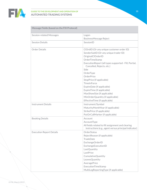

#### **GUIDE TO THE DEVELOPMENT AND OPERATION OF AUTOMATED TRADING SYSTEMS**

| <b>Message Fields (based on the FIX Protocol)</b> |                                                                                                                                                                                                                                                                                                                                                                                                                                                                       |  |
|---------------------------------------------------|-----------------------------------------------------------------------------------------------------------------------------------------------------------------------------------------------------------------------------------------------------------------------------------------------------------------------------------------------------------------------------------------------------------------------------------------------------------------------|--|
| <b>Session-related Messages</b>                   | Logon                                                                                                                                                                                                                                                                                                                                                                                                                                                                 |  |
|                                                   | BusinessMessage Reject                                                                                                                                                                                                                                                                                                                                                                                                                                                |  |
| <b>Session Details</b>                            | SessionID                                                                                                                                                                                                                                                                                                                                                                                                                                                             |  |
| Order Details                                     | ClOrdID (Or any unique customer order ID)<br>SenderSubID (Or any unique trader ID)<br>OriginalClOrderID<br>OrderTimeStamp<br>ExecutionReport (all types supported - Fill, Partial,<br>Cancelled, Rejects, etc.)<br>Side<br>OrderType<br>OrderPrice<br>StopPrice (if applicable)<br><b>TimeInForce</b><br>ExpireDate (if applicable)<br>ExpireTime (if applicable)<br>MaxShowSize (if applicable)<br>MinOrderQuantity (if applicable)<br>EffectiveTime (if applicable) |  |
| <b>Instrument Details</b>                         | Instrument/Symbol<br>MaturityMonthYear (if applicable)<br>StrikePrice (if applicable)<br>PutOrCallMarker (if applicable)                                                                                                                                                                                                                                                                                                                                              |  |
| <b>Booking Details</b>                            | Account<br>AccountType<br>All fields related to fill assignment and clearing<br>instructions (e.g., agent versus principal indicator)                                                                                                                                                                                                                                                                                                                                 |  |
| <b>Execution Report Details</b>                   | OrderStatus<br>RejectReason (if applicable)<br>TradeDate<br>ExchangeOrderID<br>ExchangeExecutionID<br>LastQuantity<br>LastPrice<br>CumulativeQuantity<br>LeavesQuantity<br>AveragePrice<br>ExecutionTimeStamp<br>MultiLegReportingType (if applicable)                                                                                                                                                                                                                |  |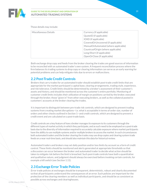

#### **GUIDE TO THE DEVELOPMENT AND OPERATION OF AUTOMATED TRADING SYSTEMS**

Those details may include:

| Miscellaneous Details | Currency (if applicable)             |
|-----------------------|--------------------------------------|
|                       | QuotelD (if applicable)              |
|                       | IOIID (if applicable)                |
|                       | CoveredOrUncovered (if applicable)   |
|                       | ManualOrAutomated (where applicable) |
|                       | CountryofOrigin (where applicable)   |
|                       | Long/Short (if applicable)           |
|                       | OpenOrClose (if applicable)          |
|                       |                                      |

Both exchange drop copy and feeds from the broker clearing the trades are good sources of information to be reconciled with an automated trader's own system. A frequent reconciliation process where the firm balances its trading systems to drop copy or clearing information can serve as an early warning for potential problems and can help mitigate risks due to errors or malfunctions.

### **2.2 Post-Trade Credit Controls**

Brokers that carry trades for an automated trader should establish post-trade credit limits that are appropriate for the market participant's capital base, clearing arrangements, trading style, experience, and risk tolerance. Credit limits should be determined by a broker's assessment of their customer's assets and history, and should be monitored across the customer's entire portfolio. Monitoring of customer credit limits includes their utilization of margin on positions carried by the broker, executed through the broker, those "given in" from other executing brokers, as well as the collateral posted in customers' accounts at the broker clearing the trades.

It is important to distinguish between pre-trade risk controls, which are designed to prevent trading systems from creating market disruptions—i.e. what is acceptable in terms of order size, number of orders and other checks outlined in Section 1—and credit controls, which are designed to prevent a credit event and are calculated on a post-trade basis.

Credit controls are a key feature of how a broker manages its exposure to its customers through the different types of market activity in which they participate, and as such need to be employed on a post-trade basis due to the diversity of information required to accurately calculate exposure where market participants have the ability to use multiple systems and/or multiple brokers to access the market. In such circumstances both automated traders and the broker clearing the trades may use drop copies and clearing system trade feeds on a near real-time basis, and should also maintain this data for historical review.

Automated traders and brokers may set daily position and/or loss limits by account as a form of credit control. These limits should be monitored and alerts generated at appropriate thresholds so that a discussion can occur between the broker and automated trader to decide what action should be taken to mitigate risk before the limit is breached. Such post-trade controls have both a quantitative and qualitative nature, and judgment should always be exercised before invoking certain controls, for example a kill switch (see Section 1.11).

### **2.3 Exchange Error Trade Policies**

Error trade policies at exchanges should be transparent, deterministic, robust and clearly documented so that all participants understand the consequences of an error. Such policies are important for the protection of the clearing members as well as individual participants, and should be as consistent as possible across exchanges and clearinghouses.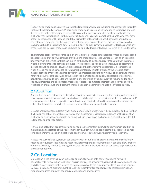

Robust error trade policies serve to protect all market participants, including counterparties to trades that may be deemed erroneous. Where error trade policies are unclear or open to subjective analysis, it is possible that in attempting to reduce the risk of the party responsible for the error trade, the exchange may introduce risk to the counterparty, as well as other market participants, who may have acted in accordance with just and equitable principles of the marketplace. Exchanges should seek consistency in practices for the same types of financial instruments across markets where possible. Exchanges should also use pre-determined "no-bust" or "non-reviewable range" criteria as part of any error trade policy. Error trade policies should be publicly documented and reviewed on a regular basis.

The ultimate goal of any error trade policy should be to promote a marketplace where all trades stand as executed. To that point, exchange provided pre-trade controls (see Section 1) such as price collars and maximum order size controls can minimize the need to invoke an error trade policy. In instances where allowing trades to stand as executed is not possible, a price adjustment should be attempted instead of busting a trade. However, it is recognized that there may be exceptional circumstances when a trade has to be cancelled to retain market integrity. In both situations the affected party must report the error to the exchange within the prescribed reporting window. The exchange should notify the counterparties as well as the rest of the marketplace as quickly as possible of both price adjustments and trade cancellations to both allow continued price discovery to resume and to allow the counterparties and all impacted market participants to mitigate their risk as quickly as possible. Notification of any bust or adjustment should be sent in electronic format to all affected parties.

### **2.4 Audit Trail**

Automated traders that use, or brokers that permit customers to use, automated trading systems should have in place a system to save order-related audit trail data for the time period specified in exchange and/ or governmental rules and regulations. Audit trail data is typically stored in a data warehouse, and the entity should have the capability to report or extract that data into a standard format.

Brokers should assist regulators when customer activity is under inquiry by regulatory bodies. Further, if a broker has actual or constructive notice that a customer is violating regulations or the rules of an exchange or clearinghouse, it might be found to be in violation of exchange or clearinghouse rules if it fails to take appropriate action.

It should be noted that brokers may also be required to maintain a surveillance system in addition to maintaining an audit trail of their customer activity. Such surveillance systems may operate on a realtime basis or may be used on a post-trade basis to investigate activity that may require review.

Access to a surveillance system, in conjunction with an audit trail history, may help them efficiently respond to regulatory inquiries and meet regulatory reporting requirements. It can also allow brokers additional visibility needed to manage their own risk and make decisions on continued appropriateness of customer activity.

# **3 Co-Location**

Co-location is the offering by an exchange or marketplace of data center space and network connectivity to its execution facilities. This is in contrast to proximity hosting which is when an end user finds third-party space that is located as close as possible to the execution facility's matching engine. Both co-location and proximity hosting facilities typically offer connectivity to telecommunication, redundant sources of power, cooling, remote support, and security.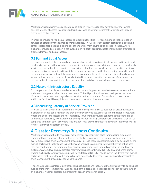

#### **GUIDE TO THE DEVELOPMENT AND OPERATION OF AUTOMATED TRADING SYSTEMS**

Market participants may use co-location and proximity services to take advantage of the lowest possible latency of access to execution facilities as well as minimizing infrastructure footprints and providing disaster recovery.

In order to provide fair and equal access to execution facilities, it is recommended that co-location services be offered by the exchange or marketplace. This will prevent certain parties from obtaining better located facilities and blocking out other parties from having equal access. In cases, where exchange-provided co-location is not available, third-party proximity hosts should adopt practices to promote fairness and equal access.

### **3.1 Fair and Equal Access**

Exchanges or marketplaces should make co-location services available to all market participants and third-party providers that wish to lease space in their data center on a fair and equal basis. Third-party service providers should be permitted to provide technology services from the co-location facility on the same basis as a market participant. Fees should be equitable, with charges being proportionate to the amount of infrastructure taken as opposed to membership status or other criteria. Finally, where infrastructure or access may be physically limited (e.g., fiber conduits, rooftop space) exchanges or providers should have policies in place providing for equitable use and allocation of these resources.

### **3.2 Network Infrastructure Equality**

Exchanges or marketplaces should offer equidistant cabling connections between customer cabinets and the exchange or marketplace access points. This will provide all market participants the same distance to the access point regardless of location in the data center. Optimally, all cross-connects within the facility will be equidistant to ensure that location does not matter.

### **3.3 Measuring Latency of Service Provision**

In order to assist end users in determining whether the provision of co-location or proximity hosting is offered in an equitable manner, the providers may provide actual statistics on the latency between where the end user accesses the hosting facility to where the provider connects to the exchange or to the execution facility. Measurement may be provided in an agreed standardized format that can be compared to that of other providers. The provider may provide statistics on average latency as well as longest latency and shortest latency.

# **4 Disaster Recovery/Business Continuity**

Market participants should have crisis management procedures in place for managing automated trading software and operational failures. The ability to manage a crisis should not be inhibited by an overly prescriptive crisis management procedure. Instead these procedures should be designed by the market participant that intends to use them and should be commensurate with the type of business they are conducting. For example, a firm handling customer trades should consider the needs of the customers when developing a disaster recovery/business continuity (DR/BCP) plan whereas a firm trading exclusively for its own account will have different DR/BCP needs. Given the diversity of market participants that exists today it is infeasible, and potentially dangerous, to design overly prescriptive crisis management procedures for all participants.

Plans should address internal significant business disruptions that affect the firm's ability to do business such as a fire or system failure as well as significant external business disruptions such as the failure of an exchange, weather disaster, cybersecurity breach or terrorist attack.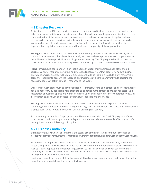

### **4.1 Disaster Recovery**

A disaster recovery (DR) program for automated trading should include: a review of the systems and data center vulnerabilities and threats; establishment of adequate contingency and disaster recovery plans; validation of the plans via exercises and tabletop reviews; performance of regular reviews of systems to check for compliance with the requirements; and performance of regular reviews by a responsible party to address any changes that need to be made. The formality of such a plan is dependent on regulatory requirements and the size and complexity of the organization.

**Strategy:** A DR program should establish and maintain emergency procedures, backup facilities, and a plan for disaster recovery that allows for the timely recovery and resumption of necessary operations and the fulfillment of the responsibilities and obligations of the entity. The DR program should also take into consideration the firm's essential service providers by analyzing the risks presented by critical third parties.

Plans: Firms should consider a DR plan that is appropriate for their business. Such plans should designate disaster response personnel and include all necessary contact details. As no two business operations or crisis events are the same, procedures should be flexible enough to allow responsible personnel to take into account the facts and circumstances of a particular event while deciding the necessary course of action to take in response to the event.

Disaster recovery plans must be developed for all IT infrastructure, applications and services that are deemed necessary by applicable regulation(s) and/or senior management to provide for acceptable restoration of business operations within an agreed-upon or mandated return to operation, following interruption to, or failure of affected infrastructure, applications or services.

**Testing:** Disaster recovery plans must be practiced or tested and updated to provide for their continuing effectiveness. In addition to regular testing, plan reviews should take place any time material changes occur which would introduce or change planning for recovery.

To the extent practicable, a DR program should be coordinated with the DR/BCP programs of the other market participants upon whom it depends, in a manner adequate to enable effective and safe resumption of activity following a disruption.

### **4.2 Business Continuity**

Business continuity involves ensuring that the essential elements of trading continue in the face of disruptive external events, internal system and environment outages, and hardware and software failures.

To minimize the impact of certain types of disruptions, firms should consider the utility of standby systems for production infrastructure such as servers and network hardware in addition to key services such as trading applications and supporting services such as back office and even business e-mail continuity. Business continuity plans should be tested and participation in exchange-sponsored failover testing when available is encouraged.

In addition, some firms may wish to set up a parallel trading environment in a secondary location in the event that widespread disruption occurs at a location.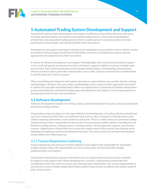

# **5 Automated Trading System Development and Support**

Automated trading system development and support is defined as all activities that must take place to design, develop, deploy, and maintain automated trading systems. Due to the broad adoption of electronic and automated trading systems there is a wide and ever increasing variety of market participants and exchanges that should establish these procedures.

Development and support procedures should not be mandated in a prescriptive manner. Rather, market participants and exchanges should have the flexibility necessary to establish procedures that are appropriate and proportional to their operations.

A variety of software development and support methodologies exist, from those that better support a very small and organic environment to those that better support a highly structured, multiple team environment. Each market participant and exchange should employ a methodology that promotes efficient communication, generates maintainable source code, produces software that is implemented to specification and is easy to support.

When establishing development and support procedures, organizations may consider already existing methodologies. Similarly, they may adopt a methodology that is unique to their organization provided it satisfies the principles described below. Where an organization is composed of multiple independent groups responsible for automated trading system development and support, it may be appropriate for each group to have its own such procedures.

### **5.1 Software Development**

Software development includes the writing, testing, and maintaining of the source code associated with automated trading systems.

Organizations that are reliant on and responsible for the development of trading software should have a process in place by which they can implement new source code or changes to existing source code without exposing themselves or the market to undue risk. There is a wide variety of automated trading related software that is responsible for the process of transacting on public markets, including but not limited to trading venues, trading systems, clearing systems, risk management systems, and research systems. Organizations should take into account the unique needs of the systems they develop when adopting and applying a software development process. Any such process for software development should address the following areas:

### *5.1.1 Feature/Requirement Gathering*

Feature gathering is the process by which engineers and support staff responsible for automated trading systems collect the requirements for such systems prior to and during their design, implementation, and support.

Organizations should have a process that allows for any requirements to be accurately conveyed to engineers and support staff. When designing such a process, organizations should take into consideration team size, team structure, and communication mechanisms. For certain organizations, it may be best to have multiple independent feature gathering processes to address the unique needs of their various teams.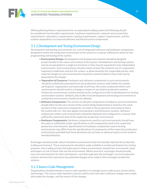

While gathering feature requirements for an automated trading system the following should be considered: functionality requirements, hardware requirements, network and connectivity requirements, redundancy requirements, hosting requirements, support requirements, and the system's dependency on external software and infrastructure components.

### *5.1.2 Development and Testing Environment Design*

Development and testing environments are a set of integrated software and hardware components designed to mimic the production environment of the system in a manner sufficient to allow for the programming and testing of the system.

- **Environment Design:** Development and testing environments should be designed proportionally to the nature and context of the system. Development and testing systems may be encapsulated in a single environment or they may be separated in two independent environments. Such environments should contain at least the minimum set of components required to implement and test the system, as determined by the responsible parties. Any material changes to such environments should be communicated to those that may be impacted by the change.
- Separation of Concerns: Hardware and software components in such environments should be sufficiently separated from the production systems, both within the market participants' organization and externally at all times. No action conducted within such environments should result in a change or impact of any kind to production systems. Production environment systems should not be configured to refer to development or testing environment systems. Similarly, data traffic from development and testing environments to production environments should not be allowed.
- **Software Components:** The version of software components included in such environments should either be the new version of the system being implemented or tested or the same versions of the respective components currently in the production environment where the system will run—this also applies to proprietary and third party systems. Software components within such environments should be deployed and configured in a manner that sufficiently represents that of the respective production environment.
- Hardware Components: Hardware components used for such environments should have the same or sufficiently similar specifications as the components used in the respective production environments. Specifications of hardware components used in testing environments may differ from the specifications of components of the respective production environments provided that these deviations do not have an adverse impact on the system's intended behavior.

Exchanges should provide robust simulation environments that functionally replicate the production trading environment. These environments should be made available to market participants for testing purposes. Any trading activity that takes place in these environments should have no economic value and impart no risk to those that use the environment. Where practical, exchanges should provide two such environments for their participants—one that replicates the exchange's current production systems and one that represents any potential changes to be made to the exchange's production systems.

### *5.1.3 Source Code Management*

Organizations should maintain a source code repository to manage source code access, preservation, and changes. The source code repository may be used to ascertain when software changes were made, who made the changes, and the nature of the changes.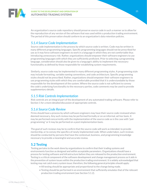

An organization's source code repository should preserve source code in such a manner as to allow for the reproduction of any version of the software that was used within a production trading environment. The period of this preservation should conform to an organization's data retention policies.

### *5.1.4 Source Code Implementation*

Source code implementation is the process by which source code is written. Code may be written in many different programming languages. Specific programming languages should not be prescribed for use as it may force software engineers to work in a language in which they are not comfortable thus introducing unnecessary risk. Rather, organizations should empower their software engineers to use programming languages with which they are sufficiently proficient. Prior to selecting a programming language, consideration should also be given to a language's ability to implement the necessary functionality as defined by those responsible for establishing system requirements.

Similarly, source code may be implemented in many different programming styles. A programming style may include formatting, variable naming conventions, and code architecture. Specific programming styles should not be prescribed. Rather, organizations should empower their software engineers to use programming styles with which they are comfortable provided that it is understandable by those responsible for the development of the system. Where the source code is not sufficient to convey the code's underlying functionality to the necessary parties, code comments may be used to provide supplementary details.

### *5.1.5 Risk Controls Implementation*

Risk controls are an integral part of the development of any automated trading software. Please refer to Section 1 for a more detailed discussion of appropriate controls.

### *5.1.6 Source Code Review*

Firms should have a process by which software engineers may have their source code reviewed when deemed necessary. Any such review may be performed formally or on an informal, ad-hoc basis. It may be performed concurrently with the implementation of the source code as is the case with "pair programming" or it may be performed on a post-implementation basis.

The goal of such reviews may be to confirm that the source code will work as intended, to provide mentorship, or to convey the specifics of newly implemented code. When undertaken, such reviews should be conducted by persons that have the contextual, business, and programming knowledge necessary to provide a meaningful and accurate review.

### **5.2 Testing**

Testing pertains to the work done by organizations to confirm that their trading systems and environments function as designed and within acceptable parameters. Organizations should have a process for testing software and infrastructure before they are released to the production environment. Testing is a critical component of the software development and change management process as it aids in the prevention of system issues within the production trading environment. It is widely acknowledged that testing may not catch every system issue; therefore, the following general principles should apply:

- All testing should be appropriate and proportional to the change being made.
- Testing should be performed in an environment that sufficiently emulates that of the relevant production trading environment (see Section 5.1.2).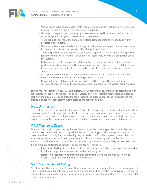

- Variables and initial conditions for tests should be selected such that the software system being tested behaves like it will when used in production.
- Testing may be performed manually by a person or executed in an automated manner by software systems designed to execute automated tests.
- Testing should verify that the system being tested is functioning as intended and within acceptable parameters.
- Testing of systems associated with a change but otherwise unchanged themselves may need to occur prior to the production use of the change in question.
- Those responsible for development, testing, and support of a system should be responsible for determining which tests must be completed successfully prior to the production use of that system.
- Failing to successfully complete a test deemed necessary for verifying that a system is working properly should be a sufficient condition for preventing the release of that system. In this case, that system should not be used in production until that test is successfully completed.
- As a system evolves it is possible that previously necessary tests become obsolete. Those tests should be removed from the testing plan for the system.
- Provided they are still relevant, previously designed tests should be reused for future software changes to enable the continued proper functioning of the system being changed.

Testing may not identify an issue within a system. A sound testing policy should be supplemented with appropriate risk control and support policies. A variety of effective testing methodologies exist and each firm should employ a suite of testing tools that suit the unique needs of their business and the change in question. Those testing methodologies are described below.

### *5.2.1 Unit Testing*

Unit testing is a type of software testing in which discrete units of source code are tested to verify they work as desired. An individual unit test should be designed in such a way as to minimize the degree to which it tests aspects of a code base beyond the discrete unit of source code being tested. Unit tests may be configured to run automatically throughout the software development and building process.

### *5.2.2 Functional Testing*

Functional testing is a type of testing that confirms a system behaves as specified. A typical system has a finite set of behaviors that it may exhibit. Functional testing primarily attempts to confirm these behaviors. Similarly, functional testing may be used to confirm that a system does not behave in an unintended manner. Such testing may be manually administered by a responsible person or automatically administered in a simulation environment by software systems designed to run such tests.

Types of functional testing to consider include but are not limited to:

- **Integration Testing:** A type of testing that confirms the system behaves as specified when its individual components are combined and tested as a group.
- **Regression Testing:** A type of testing that confirms that no bugs are introduced into an existing system as a result of changes being made.

### *5.2.3 Non-Functional Testing*

Non-functional testing is a type of testing that confirms a system's non-functional requirements are met when its various components operate with one another and with external systems. Typically, the goal of non-functional testing is to confirm that a system performs as expected when faced with environmental changes and extreme events.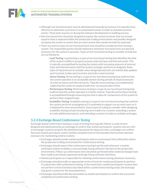

- Although non-functional tests may be administered manually by humans it is typically more effective to administer such tests in an automated manner in order to simulate extreme events. These tests may be run during the software development or building process.
- Non-functional tests should be designed to expose the system to events that are at least equal to what is expected within the production trading environment and possibly designed to expose the system to events that are more severe than would normally be expected.
- There are several types of non-functional tests that should be considered when testing a system. The responsible parties should implement whichever functional tests are deemed necessary for the system in question. Types of non-functional testing to consider include but are not limited to:
	- **Load Testing**: Load testing is a type of non-functional testing that identifies the limit of the system's ability to properly process external input and internal events. This is typically accomplished by testing the system with increasing amounts of external input and internal events until the system no longer performs as designed. Some types of input/events to consider when designing load tests are market data updates sent/received, trades sent/received, and orders sent/received.
	- **Stress Testing**: Stress testing is a type of non-functional testing that confirms that the system operates in an acceptable manner during periods of atypical amounts of external inputs and internal events. Typically stress testing is accomplished by subjecting the system to atypical loads over varying periods of time.
	- **Performance Testing**: Performance testing is a type of non-functional testing that confirms that the system operates in a timely manner. Typically performance testing is accomplished through measuring the time it takes for components of the system to perform their assigned tasks.
	- **Scalability Testing**: Scalability testing is a type of non-functional testing that confirms the system performs as designed as it is extended to support use by more users or it is deployed to more environments. Some types of scaling to consider when designing scalability testing include introducing more traders to a system, extending a system to trade additional products, and extending a system to trade on multiple exchanges.

### *5.2.4 Exchange-Based Conformance Testing*

Exchange-based conformance testing is a type of testing that typically follows a script of tests designed and administered by an exchange to confirm that market participants' systems interact with an exchange's systems properly. By administering and performing such tests, exchanges can confirm that each market participant system exhibits a baseline level of functionality that has been deemed necessary for maintaining orderly markets.

- Exchanges should provide market participants with an environment that sufficiently mimics the production trading environment for conformance testing.
- Exchanges should require that conformance testing is performed whenever a market participant wishes to deploy a new exchange-facing software interface to the production environment. Follow-up conformance tests should be performed when material changes have been made to previously approved exchange-facing software interfaces.
- Market participants are responsible for initiating conformance testing whenever necessary.
- Exchanges should provide an appropriate series of tests for market participants to perform in conjunction with conformance testing. In the event that a market participant's system does not perform certain functions described within a conformance testing script, the exchange may grant a waiver for the associated tests.
- Exchanges should provide documentation to market participants to confirm the successful completion of conformance testing.

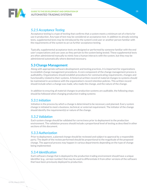

### *5.2.5 Acceptance Testing*

Acceptance testing is a type of testing that confirms that a system meets a minimum set of criteria for use in production. Any type of test may be considered an acceptance test. In addition to already existing tests, supplemental tests may be introduced by the system's end user or another person familiar with the requirements of the system to act as further acceptance testing.

Typically, supplemental acceptance tests are designed or performed by someone familiar with the end user's expectations and use cases as they pertain to the system being tested. These supplemental tests are often administered manually to mimic how a human interacts with the system, but they may be administered automatically where deemed necessary.

### **5.3 Change Management**

Along with appropriate software development and testing practices, it is important for organizations to establish change management procedures. A core component of the change management process is auditability. Organizations should establish procedures for communicating requirements, changes and functionality related to their systems. A historical written record of material changes to systems should be maintained in accordance with the organization's record retention policies. This written record should include when a change was made, who made the change, and the nature of the change.

In addition to ensuring all material changes to production systems are auditable, the following steps should be followed when changing production trading systems:

### *5.3.1 Initiation*

Initiation is the process by which a change is determined to be necessary and planned. Every system change is initiated to meet a business, technical, or external requirement. The initiator of the change should identify the requirement(s) or nature of the change.

### *5.3.2 Validation*

Each system change should be validated for correctness prior to deployment to the production environment. The validation process should include a proportional level of testing as described in other sections of this document.

### *5.3.3 Authorization*

Prior to deployment, a planned change should be reviewed and subject to approval by a responsible party. The depth of the review performed should be proportional to the magnitude of the proposed change. The approval process may happen in various departments depending on the type of change being implemented.

### *5.3.4 Identification*

Each software change that is deployed to the production trading environment should have a unique identifier (e.g., version number) that may be used to differentiate it from other versions of the software that have been previously deployed to production.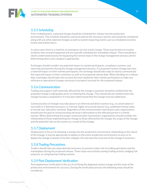

### *5.3.5 Scheduling*

Prior to deployment, a planned change should be scheduled for release into the production environment. This schedule should be communicated to the necessary parties and should be considered along with any other planned changes as well as market-impacting events such as scheduled economic events and market hours.

In some cases there is a need for an emergency (or fast track) change. These may be done to resolve incidents that recently happened and are typically scheduled for immediate release. There should be a clearly understood process for bypassing the normal steps in the change management process and for determining when such a bypass is appropriate.

Exchanges should consider any potential impact to market participants, compliance systems, and reporting mechanisms during the change management process. If a proposed system change may have a material impact on their market participants, the exchange should take steps to clearly communicate the expected impact to their customers as well as its proposed release date. When deciding on a release date, exchanges should take into account the time needed by their market participants to make any software or operational changes necessary to properly account for the proposed release.

### *5.3.6 Communication*

Trading and support staff materially affected by the change in question should be notified that the proposed change is taking place prior to initiating the change. They should also be notified when the change has been completed or if it has been determined that the change must be rolled back.

Communication of changes may take place in an informal and direct manner (e.g., in conversation or via email) or, if deemed necessary, in a formal, highly structured manner (e.g., published release notes or formal user education sessions). Regardless of the communication mechanism used, organizations should have the goal of communicating necessary information to the affected parties in a timely manner. When determining the proper communication mechanisms, organizations should consider the relationship of those implementing the change to those affected by the change, the scope of the change, and the potential risks to the system as a result of this change.

### *5.3.7 Deployment*

Deployment is the act of releasing a change into the production environment. Depending on the nature of the change, it may be appropriate to deploy to the entire production environment at once or to deploy the change in phases to further mitigate risk and ease the reversion of the change if necessary.

### *5.3.8 Trading Precautions*

Traders should take any steps deemed necessary to prevent undue risk to trading operations and the marketplace during the proposed release. These steps may include ceasing trading activity, hedging risk exposure, or using backup trading systems.

### *5.3.9 Post Deployment Verification*

Post deployment verification is the act of verifying the deployed system change and the state of the production environment for accuracy. During the verification process the following steps should be considered: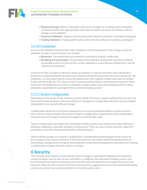

- **Measured Usage:** Where reasonable, substantive changes to a trading system should be activated initially with appropriately restricted risk limits and access to markets until the change can be validated.
- **Technical Validation**: Support staff should confirm that the software is working as designed.
- **Trading Validation**: Trading staff should confirm that the software is working as designed.

### *5.3.10 Completion*

A successful validation should result in the completion of the deployment. If the change cannot be validated a proper course of action may include:

- **Reversion**: The production environment is reverted to its prior stable state.
- **Disabling of Functionality**: The portions of the software change that cannot be validated are disabled until such time as they can be validated or a new software deployment may be released to production.

In the event that a change to software causes an incident or requires reversion, there should be a process for implementing this reversion and communicating the issue to the necessary parties for risk mitigation. It is also important to review the deployment, with regards to both what went according to plan and what did not. This "post mortem" process provides both an educational purpose for those involved in the deployment as well as a validation of approaches taken during deployment for those ultimately responsible for oversight of the automated trading system.

### *5.3.11 System Configuration*

Depending on the design of the software and the needs of its users, system configuration can occur at the point of initial release or when the software is changed, or configuration elements can be changed independent of an overall software change.

Configuration elements can be fixed components of an overall software platform which require a full re-release when changed. More often, however, configuration components will be independent elements that can change on demand to support a more flexible need.

Typical configuration parameters for automated trading systems may include externally referenced hardware, databases, and other peripheral components. They may also include risk limits, algorithm parameters, and other elements that define system behavior.

When making changes to a system's configuration, consideration should be given to the impact of that change on the system's behavior. If deemed necessary, the system should be disabled prior to committing a configuration change to avoid potential unintended consequences associated with making a configuration change while the system is running.

# **6 Security**

The software and hardware environments used to engage in automated trading may be located in remote locations such as data centers and offices. In addition, the automated trading systems may be connected by proprietary networks and may otherwise be isolated from broader internet access. However, there are still a number of controls and practices suggested for security of automated trading systems no matter how isolated a platform is from the public realm.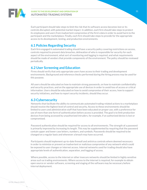

Each participant should take steps to limit the risk that its software access becomes lost or its controls disrupted, with potential market impact. In addition, each firm should take steps to protect its employees and users from inadvertent compromise of the firm's data in order to avoid harm to the participant and the marketplace. Finally, each firm should take steps to provide for the appropriate access to its development, testing, and production environments.

### **6.1 Policies Regarding Security**

Each firm engaged in automated trading should have a security policy covering restrictions on access, controls required to prevent data breaches, delineation of who is responsible for security for each aspect of the environment, what sort of monitoring and logging is required, and what requirements should be made of vendors that provide components of the environment. The policy should be reviewed periodically.

### **6.2 User Screening and Education**

Firms should verify that only appropriate users have access to their trading and development environments. Background and reference checks performed during the hiring process may be used for this purpose.

All users should be educated on how to maintain strong passwords, on how to maintain confidentiality and security practices, and on the appropriate use of devices in order to avoid loss of access or critical information. Users should be educated on how to avoid compromise of their access, how to support security initiatives, and how to report security incidents, should they occur.

### **6.3 Cybersecurity**

Networks that facilitate the ability to communicate automated trading-related actions to a marketplace should receive the highest level of control and security. Access to these environments should be limited to users and administrative staff that have been educated on proper use, with a preference for use of more than one form of authentication before access is provided. The goal is to limit production devices from being accessed by unauthorized intruders, for example, if an authorized device is lost or compromised.

Password authentication should be required for access to all environments. The strength of a password is primarily improved by increasing its length. This may be supplemented by requiring that the password contain upper and lower case letters, numbers, and symbols. Passwords should be required to be changed on a regular basis and whenever a breach may have occurred.

Participants should implement up-to-date firewall and antivirus controls where deemed necessary in order to minimize or prevent an inadvertent or malicious compromise of any network which could be exposed to user changes or internet access. Internal networks used for trading should also have appropriate levels of authentication, separation, and logging of access.

Where possible, access to the internet or other insecure networks should be limited in highly sensitive areas such as trading environments. Where access to the internet is required, for example to obtain open source or vendor software, screening and staging of the software may be necessary before internal deployment.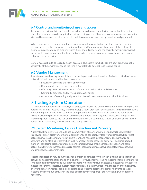

### **6.4 Control and monitoring of use and access**

To enforce security policies, a formal system for controlling and monitoring access should be put in place. Firms should consider physical security at their place(s) of business, co-location and/or proximity sites and be aware of the risk of access to their business infrastructure by unauthorized personnel.

Where feasible, firms should adopt measures such as electronic badges or other controls that limit physical access to their automated trading systems and/or management consoles at their place of business. In co-location and proximity sites, firms should understand the security measures provided by the facility and should adopt policies and procedures which, in conjunction with such measures, enhance overall security.

System access should be logged on each occasion. The extent to which logs are kept depends on the sensitivity of the environment and the time it might take to detect breaches and issues.

### **6.5 Vendor Management.**

A written service level agreement should be put in place with each vendor of mission critical software, network infrastructure, and hardware, covering:

- Security of access to the firm's environment
- Confidentiality of the firm's information
- Warranty of security from breach of data, outside intrusion and disruption
- Continuity practices and service uptime warranties
- Attestation of screening and protection from viruses, malware, and other intrusions

# **7 Trading System Operations**

It is important for automated traders, exchanges, and brokers to provide continuous monitoring of their automated trading systems. They should develop a set of practices for responding to trading disruptions and for mitigating financial losses as well as impact to the marketplace. Plans should be put in place to notify affected parties in the event of disruptions where necessary. Such monitoring and practices should be proportional to the size and the complexity of the automated trader or broker as well as the volatility and complexity of the marketplace being accessed.

### **7.1 System Monitoring, Failure Detection and Recovery**

Automated trading systems should use a combination of monitoring tools and heartbeat detection to allow for timely discovery of system component and connectivity loss from exchanges. Heartbeat detection involves the monitoring of a persistent and repeated signal generated by hardware or software and an alerting system when such heartbeat either ceases or performs in an unexpected manner. Monitoring tools are generally more comprehensive than heartbeat detection and could detect such things as increased message counts, inconsistent messages, unexpected messages, and unauthorized access or intrusion.

Heartbeat detection may be sufficient for monitoring connectivity between external entities such as between an automated trader and an exchange. However, internal trading systems should be monitored for additional quantitative and qualitative aspects which may include excessive messaging, unexpected messages or traffic, excessive system resource utilization, interruption in the function of components, or errant behavior. Alerts should be generated and systems designed to either failover to parallel systems or discontinue activity in the case of disruptive or inappropriate functioning when deemed necessary.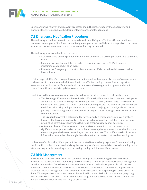

Such monitoring, failover, and recovery processes should be understood by those operating and managing the systems and may be documented in more complex situations.

### **7.2 Emergency Notification Procedures**

The following procedures serve to provide guidance in mobilizing an effective, efficient, and timely response to emergency situations. Undoubtedly, emergencies vary widely, so it is important to address a variety of market events and scenarios where action may be needed.

The following principles should be considered:

- Coordinate and provide prompt information to and from the exchange, broker, and automated trader.
- Maintain previously established Standard Operating Procedures (SOPs) to minimize miscommunications during an event.
- Evaluate the Emergency Notification Procedures and SOPs once the crisis resolution has been achieved.

It is the responsibility of exchanges, brokers, and automated traders, upon discovery of an emergency or disruption, to communicate the information to the affected trading community and regulators as necessary. In all cases, notifications should include event discovery, event progress, and event conclusion, with intermediate updates as necessary.

In addition to these overarching principles, the following *Guide*lines apply to each entity group:

- **The Exchange**: If an event is determined to affect a significant number of market participants and/or has the potential to require an emergency market halt, the exchange should send a notification message to the trading community and regulators. The exchange should circulate the information using multiple avenues of communication (e.g., text, email, website banner postings). The exchange should endeavor to distinguish these messages from normal business communications.
- **The Broker**: If an event is determined to have caused a significant disruption of a broker's business, the broker should notify customers, exchanges and/or regulators using previously established communication avenues (e.g., text, email, website banner postings).
- **Automated Trader**: If an automated trader suffers an event that has the potential to significantly disrupt the market or the broker's systems, the automated trader should contact the exchange or the broker, depending on the type of access. The notification should include information on whether there might be orders left in the market that need to be mitigated.

In the case of a disruption, it is important that automated traders design a process for communicating the disruption to their traders and advising them on appropriate action to take, which depending on the situation, may include cancelling orders or ceasing trading until the event is addressed.

### **7.3 Risk Management**

Brokers who provide market access for customers using automated trading systems - which also includes the responsibility for monitoring and risk controls - should also have a formal risk management function independent from the traders to determine appropriate levels for pre-trade risk controls as well as to monitor the financial exposure of the traders. In the event that limits are approached or breached, the risk management function should have procedures for responding to such a breach in limits. Where possible, pre-trade risk controls (outlined in section 1) should be automated, requiring a manual override to enable a trader to continue trading. It is advisable to allow traders to undertake liquidation trades even when a limit may be breached.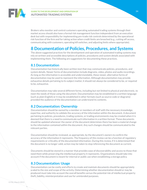

Brokers who monitor and control customers operating automated trading systems through their market access should also have a formal risk management function independent from an execution desk but with responsibility for implementing pre-trade risk controls determined by the operational risk function of the firm and for taking action when credit limits are breached (e.g., cutting off access, communicating with customers, operating kill switches, and adjusting limits where appropriate).

# **8 Documentation of Policies, Procedures, and Systems**

The above suggested practices for the development and operation of automated trading systems may rely on written and accessible descriptions of policies, procedures and system details associated with implementing them. The following are suggestions for documenting these practices.

### **8.1 Documentation**

Documentation has historically been written text that may communicate policies, procedures, and system details. Newer forms of documentation include diagrams, video, photos and audio recordings. As long as the information is accessible and understandable, these newer, alternative forms of documentation may be used to represent the information. Although documentation may provide exhaustive details pertaining to its subject matter, it should not always be considered to be, or required to be, exhaustive.

Documentation may take several different forms, including but not limited to physical and electronic, to meet the needs of those using the document. Documentation may be established in a written language (such as plain English) or it may be established in other formats (such as source code or diagrams) provided the audience of the documentation can understand its contents.

### **8.2 Documentation: Ownership**

Documentation should be owned by a member or members of staff with the necessary knowledge, expertise, and authority to validate the accuracy of the information within the document. A document pertaining to policies, procedures, trading systems, or trading environments may be created when it is deemed that there is a need to communicate such information in a written format. These documents should be updated whenever the owner of the document determines there has been a material change to the information contained within the document. Any such changes should be communicated to the relevant parties.

Documentation should be reviewed, as appropriate, by the document's owners to confirm the accuracy of the information it represents. The frequency of this review can be a function of regulatory requirements or criticality of the documented information. During this review, if it is determined that the document is no longer valid, action may be taken to stop referencing the document as current.

Documents should be stored in a manner that provides ease of discoverability and access to those that need them while preserving the intellectual property it represents. Organizations should take into account if the document is meant for internal or public use when establishing a storage policy.

### **8.3 Documentation: Usage**

Documentation can be costly and efforts to create and maintain documents should be appropriately scaled to the size and scope of the activity. Determining whether documentation should or may be produced must take into account the overall benefits versus the potential risk of intellectual property theft, liability, misinterpretation and use for unintended purposes.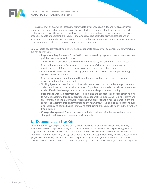

#### **GUIDE TO THE DEVELOPMENT AND OPERATION OF AUTOMATED TRADING SYSTEMS**

It is possible that an overall risk assessment may yield different answers depending on each firm's unique circumstances. Documentation can be useful whenever automated traders, brokers, and exchanges determine the need to reproduce events, to provide reference material, to inform large groups of people of operating procedures, and when it can be helpful to provide descriptions of scope and requirements to disparate groups. The format of documentation should be consistent with requirements set forth by those requesting the documentation.

Some aspects of automated trading systems and support to consider for documentation may include but not be limited to:

- **Regulatory Requirements:** Organizations are required, by regulators, to document certain policies, procedures, and actions.
- **Audit Trails**: Information regarding the actions taken by an automated trading system.
- **System Requirements:** An automated trading system's features and functionality requirements as defined by the business owners or end users of a system.
- **Project Work:** The work done to design, implement, test, release, and support trading systems and environments.
- **Systems Design and Functionality:** How automated trading systems and environments are designed and function when used.
- **Trading Systems Access Authorization:** Who has access to automated trading systems for order submission and cancellation purposes. Organizations should establish documentation to identify who has been granted access to which trading systems for trading.
- **Support and Operational Procedures:** The policies and procedures an organization follows to manage automated trading operations and support their automated trading systems and environments. These may include establishing who is responsible for the management and support of automated trading systems and environments, establishing a business continuity plan, setting and controlling risk limits, and establishing procedures to follow in the event of a trading error.
- **Change Management:** The process an organization follows to implement and release a change to their trading systems and environments.

### **8.4 Documentation: Sign-Off**

Documentation sign-off pertains to a policy that establishes if a document needs to be formally acknowledged by a responsible party as accurate and having met the necessary governing criteria. Organizations should establish which documents require formal sign-off and when that sign-off is required. If deemed necessary, all sign-offs should include the responsible party's name, title, signature (physical or electronic), and date. Responsible parties may include system owner, system architect, business owner, business analyst, software engineer, quality assurance manager, or senior management.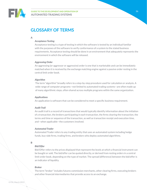

# **GLOSSARY OF TERMS**

#### A

#### *Acceptance Testing*

 Acceptance testing is a type of testing in which the software is tested by an individual familiar with the purposes of the software to verify conformance of a system to the stated business requirements. Acceptance testing should be done in an environment that adequately represents the environment in which the software will be released.

#### *Aggressing Order*

An aggressing (or aggressor or aggressive) order is one that is marketable and can be immediately matched when it is received by the exchange matching engine against a passive order resting in the central limit order book.

#### *Algorithm*

The term "algorithm" broadly refers to a step-by-step procedure used for calculation or analysis. A wide range of computer programs—not limited to automated trading systems—are often made up of many algorithmic steps, often shared across multiple programs within the same organization.

#### *Applications*

An application is software that can be considered to meet a specific business requirement.

#### *Audit Trail*

 An audit trail is a record of transactions that would typically identify information about the initiation of a transaction, the brokers participating in each transaction, the firms clearing the transaction, the terms and time or sequence of the transaction, as well as transaction receipt and execution time, and—when applicable—the customers involved.

#### *Automated Trader*

Automated Trader refers to any trading entity that uses an automated system including hedge funds, buy-side firms, trading firms, and brokers who deploy automated algorithms.

#### B

#### *Bid/Offer*

Bid/Offer refers to the prices displayed that represent the levels at which a financial instrument can be bought or sold. The bid/offer can be quoted directly, or derived from resting orders in a central limit order book, depending on the type of market. The spread (difference) between the bid/offer is an indicator of liquidity.

#### *Broker*

The term "broker" includes futures commission merchants, other clearing firms, executing brokers and other financial intermediaries that provide access to an exchange.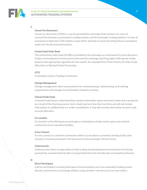

#### C

#### *Cancel-On-Disconnect*

Cancel-on-disconnect (COD) is a service provided by exchanges that monitors for a loss of connectivity between a participant's trading session and the exchange's trading platform. If a loss of connection is detected, COD initiates a best-effort attempt to cancel all resting futures and options orders for the disconnected session.

#### *Central Limit Order Book*

The central limit order book (CLOB) is provided by the exchange as a mechanism for price discovery. Orders can be placed at various price levels and the exchange matching engine will execute trades based on the appropriate algorithm for the market, for example Price/Time Priority, Pro Rata Trade Allocation or Batched Order Processing.

#### *CFTC*

Commodity Futures Trading Commission

#### *Change Management*

Change management refers to procedures for communicating, implementing, and tracking requirements and changes to functionality related to systems.

#### *Cleared Trade Feeds*

A cleared trade feed is a data feed that contains information about executed trades that is produced as a result of the clearing process. Such a feed may be in less than real-time and will not include information on unfilled orders or order cancellations. It may also include information on post-trade account allocation.

#### *Co-Location*

Co-location is the offering by an exchange or marketplace of data center space and network connectivity to its execution facilities.

#### *Cross-Connect*

A cross-connect is a network connection within a co-location or proximity hosting facility that connects a market participant's infrastructure to the exchange's infrastructure.

#### *Cybersecurity*

Cybersecurity refers to steps taken to limit trading and development environments from being accessed by unauthorized intruders or jeopardized from the introduction of unwanted software.

#### D

#### *Direct Participant*

A direct participant is market participant characterized by use of an automated trading system directly connected to an exchange without using a broker's infrastructure to route orders.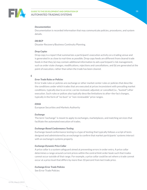

#### *Documentation*

Documentation is recorded information that may communicate policies, procedures, and system details.

#### *DR/BCP*

Disaster Recovery/Business Continuity Planning.

#### *Drop Copies*

Drop copy is a report that summarizes a participant's execution activity on a trading venue and is generated in as close to real-time as possible. Drop copy feeds are different from cleared trade feeds in that they (a) may contain additional information to aid a participant's risk management, such as order state changes, modifications, rejections and cancellations, and (b) are generated at the point of execution, rather than when the trade has been cleared.

#### E

#### *Error Trade Rules or Policies*

Error trade rules or policies are exchange or other market center rules or policies that describe the conditions under which trades that are executed at prices inconsistent with prevailing market conditions, typically due to an error, can be reviewed, adjusted, or cancelled (i.e., "busted") after execution. Such rules or polices also typically describe limitations to after–the-fact changes, typically in the form of "no-bust" or "non-reviewable" price ranges.

#### *ESMA*

European Securities and Markets Authority

#### *Exchange*

The term "exchange" is meant to apply to exchanges, marketplaces, and matching services that facilitate the automated execution of trades.

#### *Exchange-Based Conformance Testing*

Exchange-based conformance testing is a type of testing that typically follows a script of tests designed and administered by an exchange to confirm that market participants' systems interact with an exchange's systems properly.

#### *Exchange Dynamic Price Collar*

A price collar is a system safeguard aimed at preventing errors in order entry. A price collar determines a range around current prices within the central limit order book such that trades cannot occur outside of that range. For example, a price collar could be set where a trade cannot occur at a price level that differs by more than 10 percent from last trade price.

#### *Exchange Error Trade Policies*

See Error Trade Policies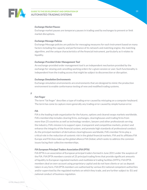

#### *Exchange Market Pauses*

Exchange market pauses are temporary pauses in trading used by exchanges to prevent or limit market disruptions.

#### *Exchange Message Policies*

Exchange Message policies are policies for messaging measures for each instrument based on many factors including the capacity and performance of its network and matching engine, the matching algorithm, and the unique characteristics of the financial instrument, particularly as it relates to liquidity.

#### *Exchange-Provided Order Management Tool*

An exchange-provided order management tool is an independent mechanism provided by the exchange for viewing and cancelling working orders for a given session or user. Such functionality is independent from the trading access that might be subject to disconnection or disruption.

#### *Exchange Simulation Environments*

Exchange simulation environments are environments that are designed to mimic the production environment to enable conformance testing of new and modified trading systems.

F

#### *Fat-Finger*

The term "fat finger" describes a type of trading error caused by mistyping on a computer keyboard. The term has come to capture more generally any trading error caused by simple human error.

#### *FIA*

FIA is the leading trade organization for the futures, options and cleared swaps markets worldwide. FIA's membership includes clearing firms, exchanges, clearinghouses and trading firms from more than 25 countries as well as technology vendors, lawyers and other professionals serving the industry. FIA's mission is to support open, transparent and competitive markets, protect and enhance the integrity of the financial system, and promote high standards of professional conduct. As the principal members of derivatives clearinghouses worldwide, FIA's member firms play a critical role in the reduction of systemic risk in the global financial markets. FIA and its affiliates FIA Europe and FIA Asia make up the global alliance FIA Global, which seeks to address the common issues facing their collective memberships.

#### *FIA European Principal Traders Association (FIA EPTA)*

FIA EPTA is an association of European principal traders formed in June 2011 under the auspices of the FIA. FIA EPTA members consist of 25 principal trading firms that provide significant amounts of liquidity to European regulated markets and multilateral trading facilities (MTFs). FIA EPTA members deal on own-account using proprietary capital and do not have clients or act as deposit takers in any form. FIA EPTA members are authorised by various EU national competent authorities and/or supervised by the regulated markets on which they trade, and are further subject to EU and national conduct of business regulation.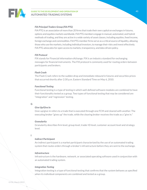

#### *FIA Principal Traders Group (FIA PTG)*

FIA PTG is an association of more than 20 firms that trade their own capital on exchanges in futures, options and equities markets worldwide. FIA PTG members engage in manual, automated, and hybrid methods of trading, and they are active in a wide variety of asset classes, including equities, fixed income, foreign exchange and commodities. FIA PTG member firms serve as a critical source of liquidity, allowing those who use the markets, including individual investors, to manage their risks and invest effectively. FIA PTG advocates for open access to markets, transparency, and data-driven policy.

#### *FIX Protocol*

FIX stands for Financial Information eXchange. FIX is an industry standard for exchanging messages for financial instruments. The FIX protocol is commonly used for routing orders between participants and brokers.

#### *Flash Crash*

The Flash Crash refers to the sudden drop and immediate rebound in futures and securities prices that occurred shortly after 2:30 p.m. Eastern Standard Time on May 6, 2010.

#### *Functional Testing*

Functional testing is a type of testing in which well-defined software modules are combined to have their functionality tested as a group. Two types of functional testing that may be considered are "integration" and "regression" testing.

#### G

#### *Give Up/Give In*

Give-up/give-in refers to a trade that is executed through one FCM and cleared with another. The executing broker "gives up" the trade, while the clearing broker receives the trade as a "give in."

#### *Granularity*

Granularity describes firm level, group level, trader ID level, customer account level and strategy level.

#### I

#### *Indirect Participant*

An indirect participant is a market participant characterized by the use of an automated trading system that routes orders through a broker's infrastructure before they are sent to the exchange.

#### *Infrastructure*

Infrastructure is the hardware, network, or associated operating software used in conjunction with an automated trading system.

#### *Integration Testing*

Integration testing is a type of functional testing that confirms that the system behaves as specified when its individual components are combined and tested as a group.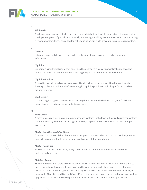

#### K

#### *Kill Switch*

A kill switch is a control that when activated immediately disables all trading activity for a particular participant or group of participants, typically preventing the ability to enter new orders and cancelling all working orders. It may also allow for risk-reducing orders while preventing risk-increasing orders.

#### L

#### *Latency*

Latency is a natural delay in a system due to the time it takes to process and disseminate information.

#### *Liquidity*

Liquidity is a market attribute that describes the degree to which a financial instrument can be bought or sold in the market without affecting the price for that financial instrument.

#### *Liquidity Provider*

 A liquidity provider is a type of professional trader whose orders more often than not supply liquidity to the market instead of demanding it. Liquidity providers typically perform a marketmaking function.

#### *Load Testing*

Load testing is a type of non-functional testing that identifies the limit of the system's ability to properly process external input and internal events.

#### M

#### *Mass Quote*

A mass quote is a function within some exchange systems that allows authorized customer systems to submit Mass Quotes messages to generate bid/ask pairs and two-sided markets for multiple instruments.

#### *Market Data Reasonability Checks*

A market data reasonability check is a tool designed to control whether the data used to generate orders by an automated trading system is within acceptable boundaries.

#### *Market Participant*

Market participant refers to any party participating in a market including automated traders, brokers, and end users.

#### *Matching Engine*

The matching engine refers to the allocation algorithm embedded in an exchange's computers to match marketable buy and sell orders within the central limit order book and convert them into executed trades. Several types of matching algorithms exist, for example Price/Time Priority, Pro Rata Trade Allocation and Batched Order Processing, and are chosen by the exchange on a productby-product basis to match the requirements of the financial instrument and its participants.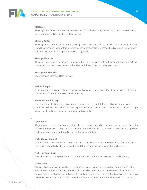

#### *Messages*

Messages are instructions sent to and received from the exchange including orders, cancellations, modifications, and notifications of execution.

#### *Message Fields*

Message fields refer to fields within messages that are either sent to the exchange or received back from the exchange that contain discrete pieces of information. Message fields are defined for order transmission as well as drop-copy and clearing feeds.

#### *Message Throttles*

Throttles on message traffic and trade executions are controls that limit the number of orders (and cancellation or revision of orders) submitted and the number of trades executed.

#### *Message Rate Policies*

See Exchange Message Rate Policies

#### N

#### *No Bust Range*

A no bust range is a range of market prices within which trades executed at those prices will not be cancelled or "busted." See Error Trade Policies.

#### *Non-Functional Testing*

Non-functional testing refers to a type of testing in which well-defined software modules are combined to have their non-functional aspects tested as a group. Such non-functional aspects might include scalability, performance, stability, and usability.

#### O

#### *Operator ID*

The operator ID is a unique code that identifies the party or parties that entered or caused the entry of an order into an exchange system. The operator ID is included as part of each order message sent to the exchange and maintained in the exchange's audit trail.

#### *Order Cancel Request*

Order cancel request refers to a message sent to the exchange's matching engine requesting that a previously submitted order be cancelled and that a confirmation of cancellation be sent.

#### *Order-to-Trade Ratio*

An order-to-trade ratio compares the number of orders submitted to the executed quantity.

#### *Order Types*

An order type is an instruction that an exchange provides to participants to allow different interaction with the central limit order book. For example, a "market order" is an order to buy or sell that is to be executed at the best price currently available, and may trade at several price levels within the order book to be fully executed. A "limit order" is an order to buy or sell that cannot trade beyond its limit price.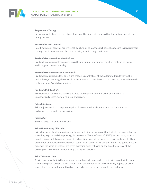

#### P

#### *Performance Testing*

Performance testing is a type of non-functional testing that confirms that the system operates in a timely manner.

#### *Post-Trade Credit Controls*

Post-trade credit controls are limits set by a broker to manage its financial exposure to its customers through the different types of market activity in which they participate.

#### *Pre-Trade Maximum Intraday Position*

Pre-trade maximum intraday position is the maximum long or short position that can be taken within a given system intraday.

#### *Pre-Trade Maximum Order Size Controls*

Pre-trade maximum order size is a pre-trade risk control set at the automated trader level, the broker level, or exchange level (or all of the above) that sets limits on the size of an order submitted to the exchange's matching engine.

#### *Pre-Trade Risk Controls*

Pre-trade risk controls are controls used to prevent inadvertent market activity due to unauthorized access, system failures, and errors.

#### *Price Adjustment*

Price adjustment is a change in the price of an executed trade made in accordance with an exchange's error trade rule or policy.

#### *Price Collar*

See Exchange Dynamic Price Collars

#### *Price/Time Priority Allocation*

Price/time priority allocation is an exchange matching engine algorithm that fills buy and sell orders according to price and time priority, also known as "first-in-first-out" (FIFO). An incoming order's quantity immediately matches against each resting order at the same price within the central limit order book queue, decrementing each resting order based on its position within the queue. Resting orders at the same price level are given matching priority based on the time they arrive at the exchange with the oldest order having the highest priority.

#### *Price Tolerance Limit*

A price tolerance limit is the maximum amount an individual order's limit price may deviate from a reference price such as the instrument's current market price, and is typically applied on orders generated from an automated trading system before the order is sent to the exchange.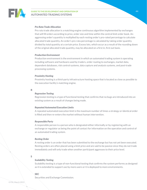

#### *Pro Rata Trade Allocation*

Pro rata trade allocation is a matching engine continuous algorithm implemented by exchanges that will fill orders according to price, order size and time within the central limit order book. An aggressing order's quantity is multiplied by each resting order's pro-rated percentage to calculate allocated trade quantity. An order's pro-rata percentage is calculated by taking order quantity divided by total quantity at a certain price. Excess lots, which occur as a result of the rounding down of the original allocated trade quantity, may be allocated on a first in, first out basis.

#### *Production Environment*

Production environment is the environment in which an automated trading system is operating including software and hardware used by traders, order routing to exchanges, market data, dependent databases, risk control systems, data capture and analysis systems, and post-trade processing systems.

#### *Proximity Hosting*

Proximity hosting is a third-party infrastructure hosting space that is located as close as possible to the execution facility's matching engine.

#### R

#### *Regression Testing*

Regression testing is a type of functional testing that confirms that no bugs are introduced into an existing system as a result of changes being made.

#### *Repeated Automated Execution Limits*

A repeated automated execution limit is the maximum number of times a strategy or identical order is filled and then re-enters the market without human intervention.

#### *Responsible Party*

 A responsible person is a person who is designated either informally or by registering with an exchange or regulator as being the point of contact for information on the operation and control of an automated trading system.

#### *Resting Order*

A resting order is an order that has been submitted to the exchange but has not yet been executed. Resting orders are often placed using a limit price and are said to be passive since they do not trade immediately and will only trade when another participant aggresses to their price level.

#### S

#### *Scalability Testing*

Scalability testing is a type of non-functional testing that confirms the system performs as designed as it is extended to support use by more users or it is deployed to more environments.

#### **SEC**

Securities and Exchange Commission.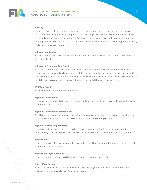

#### *Security*

Security consists of steps taken to limit the risk that software access becomes lost or controls disrupted, with potential market impact. In addition, steps are taken to protect employees and users from inadvertent compromise of the firm's data in order to avoid harm to the participant and the marketplace. Finally, steps are taken to provide for the appropriate access to development, testing, and production environments.

#### *Self-Matched Trades*

Self-matched trades are trades between the same or related entities that are matched in a central limit order book.

#### *Self-Match Prevention Functionality*

Self-Match Prevention (SMP) Functionality is a type of trading control designed to prevent a trader's order from inadvertently being matched against another of the participant's orders within the exchange's matching engine. SMP controls can be implemented differently due to the balance of flexibility versus complexity, and are often implemented differently across exchanges.

#### *SMP Functionality*

See Self-Match Prevention Functionality.

#### *Software Development*

Software development is the writing, testing, and maintaining of the source code associated with automated trading systems.

#### *Software Development Environment*

 A software development environment is the combination of hardware, software, connectivity, and data required to develop the source code for an automated trading system.

#### *Software Feature Requirements*

Software feature requirements are a description of an automated trading system's required functionality provided to those responsible for the development and support of such systems.

#### *Source Code*

Source code is a collection of computer instructions written in a computer language used to create automated trading systems.

#### *Source Code Implementation*

Source code implementation is the process by which source code is written.

#### *Source Code Review*

Source code review is the process by which software engineers may have their source code reviewed for educational or verification purposes.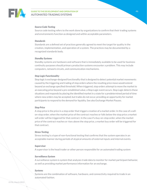

#### *Source Code Testing*

Source code testing refers to the work done by organizations to confirm that their trading systems and environments function as designed and within acceptable parameters.

#### *Standards*

Standards are a defined set of practices generally agreed to meet the target for quality in the creation, implementation, and operation of a system. The practices may be documented by a recognized standards body.

#### *Standby Systems*

Standby systems are hardware and software that is immediately available to be used for business continuity purposes should primary production systems encounter a problem. This may include computers, network circuits, and communication mechanisms.

#### *Stop Logic Functionality*

Stop logic is exchange-designed functionality that is designed to detect potential market movements caused by the triggering and trading of stop orders where the resulting price move would extend beyond an exchange specified threshold. When triggered, stop orders attempt to move the market to an executing price beyond a pre-established value, a Stop Logic event occurs. Stop Logic detects these situations and responds by placing the identified market in a state for a predetermined period of time where new orders may be accepted, but trades do not occur, providing an opportunity for market participants to respond to the demand for liquidity. See also Exchange Market Pauses.

#### *Stop Price*

A stop price is the price in a stop order that triggers creation of a market order. In the case of a sellon-stop order, when the market price of the contract reaches or falls below the stop price a market sell order will be triggered for that contract. In the case if a buy-on-stop order, when the market price of the contract reaches or rises above the stop price, a market buy order will be triggered for that contract.

#### *Stress Testing*

Stress testing is a type of non-functional testing that confirms that the system operates in an acceptable manner during periods of atypical amounts of external inputs and internal events.

#### *Supervisor*

A supervisor is the head trader or other person responsible for an automated trading system

#### *Surveillance System*

A surveillance system is system that analyzes trade data to monitor for market participant behavior, as well as providing market performance information for an exchange.

#### *Systems*

Systems are the combination of software, hardware, and connectivity required to trade in an automated fashion.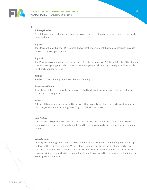

#### T

#### *Tabletop Review*

A tabletop review is a discussion of possible risk scenarios that might occur and how the firm might react to them.

#### *Tag 50*

Tag 50 is a value within the FIX Protocol (known as "SenderSubID") that some exchanges may use for submission of operator IDs.

#### *Tag 116*

Tag 116 is an assigned value used within the FIX Protocol (known as "OnBehalfOfSubID") to identify specific message originator (i.e., trader) if the message was delivered by a third party, for example, a third-party vendor or FCM.

#### *Testing*

See Source Code Testing or individual types of testing.

#### *Trade Cancellation*

Trade Cancellation is a cancellation of an executed trade made in accordance with an exchange's error trade rule or policy.

#### *Trader ID*

A Trader ID is an identifier attached to an order that uniquely identifies the participant submitting the order, often submitted in Tag 50 or Tag 116 of the FIX Protocol.

#### $\cup$

#### *Unit Testing*

Unit testing is a type of testing in which discrete units of source code are tested to verify they work as desired. These tests may be configured to run automatically throughout the development process.

#### $\sqrt{ }$

#### *Velocity Logic*

Velocity logic is designed to detect market movement of a predefined number of points either up or down within a predefined time. Velocity logic responds by placing the identified market in a state for a pre-determined period of time where new orders may be accepted, but trades do not occur, providing an opportunity for market participants to respond to the demand for liquidity. See Exchange Market Pauses.

47